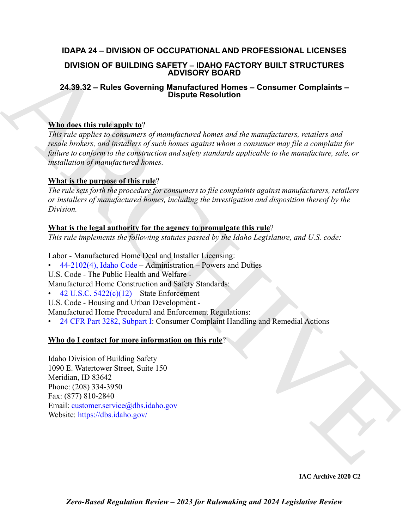## **IDAPA 24 – DIVISION OF OCCUPATIONAL AND PROFESSIONAL LICENSES**

### **DIVISION OF BUILDING SAFETY – IDAHO FACTORY BUILT STRUCTURES ADVISORY BOARD**

## **24.39.32 – Rules Governing Manufactured Homes – Consumer Complaints – Dispute Resolution**

### **Who does this rule apply to**?

DIVISION OF BUILDING SAFLETY-IDANO FA[C](https://legislature.idaho.gov/statutesrules/idstat/Title44/T44CH21/SECT44-2102/)TORY BUILT STRUCTURES<br>
24.39.32 - Rules Governing Manufactured Homes - Consumer Complaints -<br>  $\frac{1}{2}$  ARCHI[VE](mailto:customer.service@dbs.idaho.gov)ST (Consumer and the consumer of the manufactured Homes - Consumer Compl *This rule applies to consumers of manufactured homes and the manufacturers, retailers and resale brokers, and installers of such homes against whom a consumer may file a complaint for failure to conform to the construction and safety standards applicable to the manufacture, sale, or installation of manufactured homes.*

## **What is the purpose of this rule**?

*The rule sets forth the procedure for consumers to file complaints against manufacturers, retailers or installers of manufactured homes, including the investigation and disposition thereof by the Division.* 

## **What is the legal authority for the agency to promulgate this rule**?

*This rule implements the following statutes passed by the Idaho Legislature, and U.S. code:*

Labor - Manufactured Home Deal and Installer Licensing:

- 44-2102(4), Idaho Code Administration Powers and Duties
- U.S. Code The Public Health and Welfare -
- Manufactured Home Construction and Safety Standards:
- 42 U.S.C.  $5422(c)(12)$  State Enforcement
- U.S. Code Housing and Urban Development -

Manufactured Home Procedural and Enforcement Regulations:

• 24 CFR Part 3282, Subpart I: Consumer Complaint Handling and Remedial Actions

## **Who do I contact for more information on this rule**?

Idaho Division of Building Safety 1090 E. Watertower Street, Suite 150 Meridian, ID 83642 Phone: (208) 334-3950 Fax: (877) 810-2840 Email: customer.service@dbs.idaho.gov Website: https://dbs.idaho.gov/

**IAC Archive 2020 C2**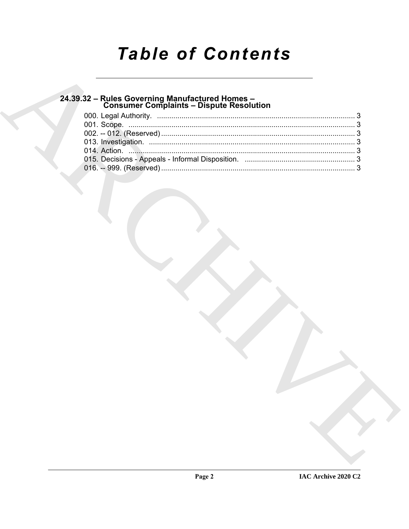# **Table of Contents**

## 24.39.32 - Rules Governing Manufactured Homes -<br>Consumer Complaints - Dispute Resolution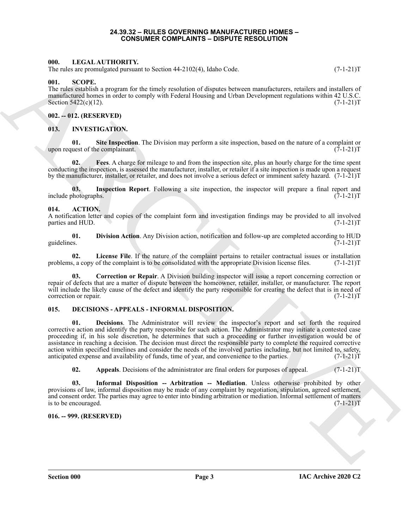#### **24.39.32 – RULES GOVERNING MANUFACTURED HOMES – CONSUMER COMPLAINTS – DISPUTE RESOLUTION**

#### <span id="page-2-20"></span><span id="page-2-1"></span><span id="page-2-0"></span>**000. LEGAL AUTHORITY.**

The rules are promulgated pursuant to Section 44-2102(4), Idaho Code. (7-1-21)T

#### <span id="page-2-21"></span><span id="page-2-2"></span>**001. SCOPE.**

The rules establish a program for the timely resolution of disputes between manufacturers, retailers and installers of manufactured homes in order to comply with Federal Housing and Urban Development regulations within 42 U.S.C.<br>(7-1-21)T Section  $5422(c)(12)$ .

#### <span id="page-2-3"></span>**002. -- 012. (RESERVED)**

#### <span id="page-2-16"></span><span id="page-2-4"></span>**013. INVESTIGATION.**

<span id="page-2-19"></span>**01. Site Inspection**. The Division may perform a site inspection, based on the nature of a complaint or upon request of the complainant.  $(7-1-21)T$ 

<span id="page-2-17"></span>**02. Fees**. A charge for mileage to and from the inspection site, plus an hourly charge for the time spent conducting the inspection, is assessed the manufacturer, installer, or retailer if a site inspection is made upon a request by the manufacturer, installer, or retailer, and does not involve a serious defect or imminent safety hazard. (7-1-21)T

<span id="page-2-18"></span>**03.** Inspection Report. Following a site inspection, the inspector will prepare a final report and hotographs. (7-1-21) include photographs.

#### <span id="page-2-8"></span><span id="page-2-5"></span>**014. ACTION.**

A notification letter and copies of the complaint form and investigation findings may be provided to all involved parties and HUD.

<span id="page-2-10"></span>**01. Division Action**. Any Division action, notification and follow-up are completed according to HUD guidelines. (7-1-21)T

<span id="page-2-11"></span>**02. License File**. If the nature of the complaint pertains to retailer contractual issues or installation problems, a copy of the complaint is to be consolidated with the appropriate Division license files. (7-1-21)T

<span id="page-2-9"></span>**03. Correction or Repair**. A Division building inspector will issue a report concerning correction or repair of defects that are a matter of dispute between the homeowner, retailer, installer, or manufacturer. The report will include the likely cause of the defect and identify the party responsible for creating the defect that is in need of correction or repair.  $(7-1-21)T$ correction or repair.

#### <span id="page-2-14"></span><span id="page-2-12"></span><span id="page-2-6"></span>**015. DECISIONS - APPEALS - INFORMAL DISPOSITION.**

60.<br>
Microsoft Control (7-12) (TIMBETIVE and 4-2 (12) 4), bable Cade.<br>
The microsoft shape are stronger for the forest involvement of disperses monothermore, residence that the residence of the microsoft shape are stronge **01. Decisions**. The Administrator will review the inspector's report and set forth the required corrective action and identify the party responsible for such action. The Administrator may initiate a contested case proceeding if, in his sole discretion, he determines that such a proceeding or further investigation would be of assistance in reaching a decision. The decision must direct the responsible party to complete the required corrective action within specified timelines and consider the needs of the involved parties including, but not limited to, safety, anticipated expense and availability of funds, time of year, and convenience to the parties. (7-1-21)T anticipated expense and availability of funds, time of year, and convenience to the parties.

<span id="page-2-15"></span><span id="page-2-13"></span>**02.** Appeals. Decisions of the administrator are final orders for purposes of appeal. (7-1-21) T

**03. Informal Disposition -- Arbitration -- Mediation**. Unless otherwise prohibited by other provisions of law, informal disposition may be made of any complaint by negotiation, stipulation, agreed settlement, and consent order. The parties may agree to enter into binding arbitration or mediation. Informal settlement of matters is to be encouraged.  $(7-1-21)T$ 

#### <span id="page-2-7"></span>**016. -- 999. (RESERVED)**